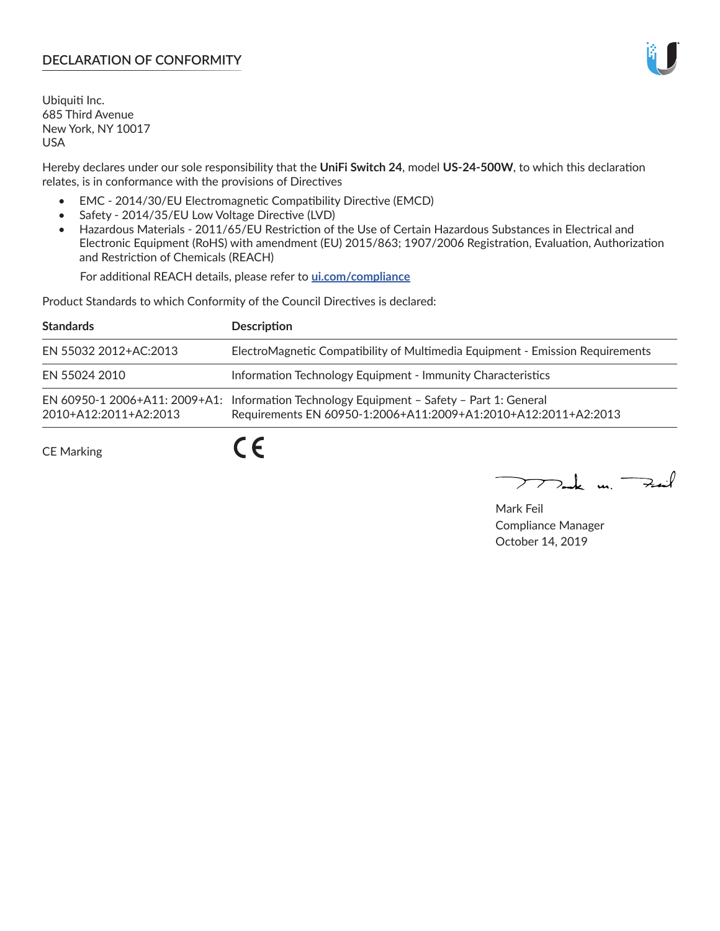# **DECLARATION OF CONFORMITY**

Ubiquiti Inc. 685 Third Avenue New York, NY 10017 USA

Hereby declares under our sole responsibility that the **UniFi Switch 24**, model **US-24-500W**, to which this declaration relates, is in conformance with the provisions of Directives

- EMC 2014/30/EU Electromagnetic Compatibility Directive (EMCD)
- Safety 2014/35/EU Low Voltage Directive (LVD)
- Hazardous Materials 2011/65/EU Restriction of the Use of Certain Hazardous Substances in Electrical and Electronic Equipment (RoHS) with amendment (EU) 2015/863; 1907/2006 Registration, Evaluation, Authorization and Restriction of Chemicals (REACH)

For additional REACH details, please refer to **[ui.com/compliance](https://dl.ui.com/compliance/REACH_Compliance_Declaration.pdf)**

Product Standards to which Conformity of the Council Directives is declared:

| <b>Standards</b>      | <b>Description</b>                                                                                                                                          |
|-----------------------|-------------------------------------------------------------------------------------------------------------------------------------------------------------|
| EN 55032 2012+AC:2013 | ElectroMagnetic Compatibility of Multimedia Equipment - Emission Requirements                                                                               |
| EN 55024 2010         | Information Technology Equipment - Immunity Characteristics                                                                                                 |
| 2010+A12:2011+A2:2013 | EN 60950-1 2006+A11: 2009+A1: Information Technology Equipment - Safety - Part 1: General<br>Requirements EN 60950-1:2006+A11:2009+A1:2010+A12:2011+A2:2013 |
| <b>CE Marking</b>     |                                                                                                                                                             |

Mak m. Fuil

Mark Feil Compliance Manager October 14, 2019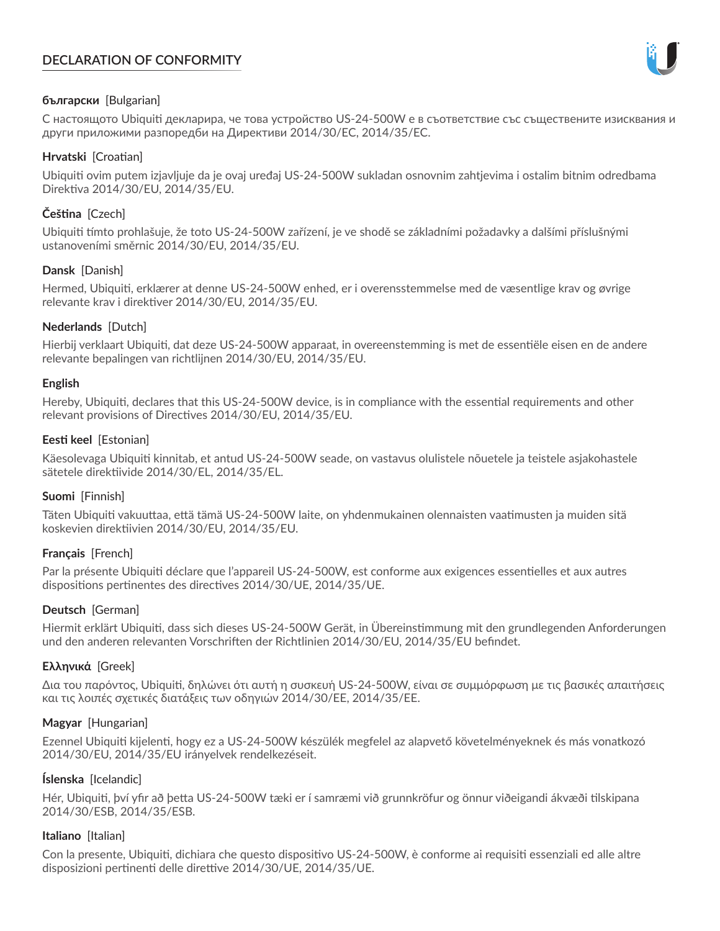# **DECLARATION OF CONFORMITY**



## **български** [Bulgarian]

С настоящото Ubiquiti декларира, че това устройство US-24-500W е в съответствие със съществените изисквания и други приложими разпоредби на Директиви 2014/30/ЕС, 2014/35/ЕС.

## **Hrvatski** [Croatian]

Ubiquiti ovim putem izjavljuje da je ovaj uređaj US-24-500W sukladan osnovnim zahtjevima i ostalim bitnim odredbama Direktiva 2014/30/EU, 2014/35/EU.

# **Čeština** [Czech]

Ubiquiti tímto prohlašuje, že toto US-24-500W zařízení, je ve shodě se základními požadavky a dalšími příslušnými ustanoveními směrnic 2014/30/EU, 2014/35/EU.

## **Dansk** [Danish]

Hermed, Ubiquiti, erklærer at denne US-24-500W enhed, er i overensstemmelse med de væsentlige krav og øvrige relevante krav i direktiver 2014/30/EU, 2014/35/EU.

## **Nederlands** [Dutch]

Hierbij verklaart Ubiquiti, dat deze US-24-500W apparaat, in overeenstemming is met de essentiële eisen en de andere relevante bepalingen van richtlijnen 2014/30/EU, 2014/35/EU.

### **English**

Hereby, Ubiquiti, declares that this US-24-500W device, is in compliance with the essential requirements and other relevant provisions of Directives 2014/30/EU, 2014/35/EU.

## **Eesti keel** [Estonian]

Käesolevaga Ubiquiti kinnitab, et antud US-24-500W seade, on vastavus olulistele nõuetele ja teistele asjakohastele sätetele direktiivide 2014/30/EL, 2014/35/EL.

### **Suomi** [Finnish]

Täten Ubiquiti vakuuttaa, että tämä US-24-500W laite, on yhdenmukainen olennaisten vaatimusten ja muiden sitä koskevien direktiivien 2014/30/EU, 2014/35/EU.

# **Français** [French]

Par la présente Ubiquiti déclare que l'appareil US-24-500W, est conforme aux exigences essentielles et aux autres dispositions pertinentes des directives 2014/30/UE, 2014/35/UE.

# **Deutsch** [German]

Hiermit erklärt Ubiquiti, dass sich dieses US-24-500W Gerät, in Übereinstimmung mit den grundlegenden Anforderungen und den anderen relevanten Vorschriften der Richtlinien 2014/30/EU, 2014/35/EU befindet.

# **Ελληνικά** [Greek]

Δια του παρόντος, Ubiquiti, δηλώνει ότι αυτή η συσκευή US-24-500W, είναι σε συμμόρφωση με τις βασικές απαιτήσεις και τις λοιπές σχετικές διατάξεις των οδηγιών 2014/30/EE, 2014/35/EE.

### **Magyar** [Hungarian]

Ezennel Ubiquiti kijelenti, hogy ez a US-24-500W készülék megfelel az alapvető követelményeknek és más vonatkozó 2014/30/EU, 2014/35/EU irányelvek rendelkezéseit.

# **Íslenska** [Icelandic]

Hér, Ubiquiti, því yfir að þetta US-24-500W tæki er í samræmi við grunnkröfur og önnur viðeigandi ákvæði tilskipana 2014/30/ESB, 2014/35/ESB.

### **Italiano** [Italian]

Con la presente, Ubiquiti, dichiara che questo dispositivo US-24-500W, è conforme ai requisiti essenziali ed alle altre disposizioni pertinenti delle direttive 2014/30/UE, 2014/35/UE.